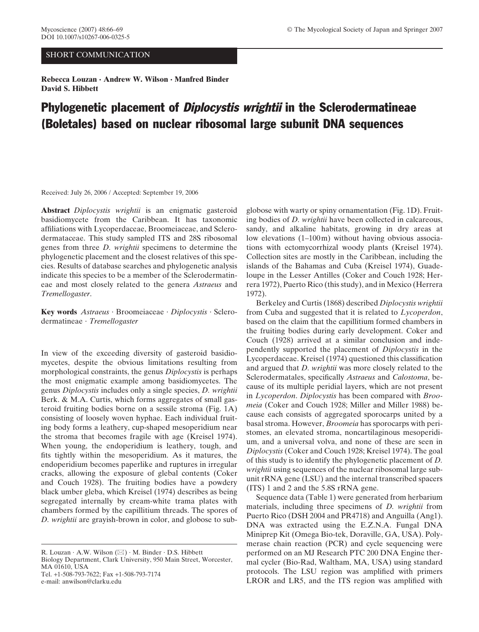## SHORT COMMUNICATION

**Rebecca Louzan · Andrew W. Wilson · Manfred Binder David S. Hibbett**

## Phylogenetic placement of *Diplocystis wrightii* in the Sclerodermatineae (Boletales) based on nuclear ribosomal large subunit DNA sequences

Received: July 26, 2006 / Accepted: September 19, 2006

**Abstract** *Diplocystis wrightii* is an enigmatic gasteroid basidiomycete from the Caribbean. It has taxonomic affiliations with Lycoperdaceae, Broomeiaceae, and Sclerodermataceae. This study sampled ITS and 28S ribosomal genes from three *D. wrightii* specimens to determine the phylogenetic placement and the closest relatives of this species. Results of database searches and phylogenetic analysis indicate this species to be a member of the Sclerodermatineae and most closely related to the genera *Astraeus* and *Tremellogaster*.

**Key words** *Astraeus* · Broomeiaceae · *Diplocystis* · Sclerodermatineae · *Tremellogaster*

In view of the exceeding diversity of gasteroid basidiomycetes, despite the obvious limitations resulting from morphological constraints, the genus *Diplocystis* is perhaps the most enigmatic example among basidiomycetes. The genus *Diplocystis* includes only a single species, *D. wrightii* Berk. & M.A. Curtis, which forms aggregates of small gasteroid fruiting bodies borne on a sessile stroma (Fig. 1A) consisting of loosely woven hyphae. Each individual fruiting body forms a leathery, cup-shaped mesoperidium near the stroma that becomes fragile with age (Kreisel 1974). When young, the endoperidium is leathery, tough, and fits tightly within the mesoperidium. As it matures, the endoperidium becomes paperlike and ruptures in irregular cracks, allowing the exposure of glebal contents (Coker and Couch 1928). The fruiting bodies have a powdery black umber gleba, which Kreisel (1974) describes as being segregated internally by cream-white trama plates with chambers formed by the capillitium threads. The spores of *D. wrightii* are grayish-brown in color, and globose to sub-

R. Louzan  $\cdot$  A.W. Wilson ( $\boxtimes$ )  $\cdot$  M. Binder  $\cdot$  D.S. Hibbett Biology Department, Clark University, 950 Main Street, Worcester, MA 01610, USA Tel. +1-508-793-7622; Fax +1-508-793-7174 e-mail: anwilson@clarku.edu

globose with warty or spiny ornamentation (Fig. 1D). Fruiting bodies of *D. wrightii* have been collected in calcareous, sandy, and alkaline habitats, growing in dry areas at low elevations (1–100 m) without having obvious associations with ectomycorrhizal woody plants (Kreisel 1974). Collection sites are mostly in the Caribbean, including the islands of the Bahamas and Cuba (Kreisel 1974), Guadeloupe in the Lesser Antilles (Coker and Couch 1928; Herrera 1972), Puerto Rico (this study), and in Mexico (Herrera 1972).

Berkeley and Curtis (1868) described *Diplocystis wrightii* from Cuba and suggested that it is related to *Lycoperdon*, based on the claim that the capillitium formed chambers in the fruiting bodies during early development. Coker and Couch (1928) arrived at a similar conclusion and independently supported the placement of *Diplocystis* in the Lycoperdaceae. Kreisel (1974) questioned this classification and argued that *D. wrightii* was more closely related to the Sclerodermatales, specifically *Astraeus* and *Calostoma*, because of its multiple peridial layers, which are not present in *Lycoperdon*. *Diplocystis* has been compared with *Broomeia* (Coker and Couch 1928; Miller and Miller 1988) because each consists of aggregated sporocarps united by a basal stroma. However, *Broomeia* has sporocarps with peristomes, an elevated stroma, noncartilaginous mesoperidium, and a universal volva, and none of these are seen in *Diplocystis* (Coker and Couch 1928; Kreisel 1974). The goal of this study is to identify the phylogenetic placement of *D. wrightii* using sequences of the nuclear ribosomal large subunit rRNA gene (LSU) and the internal transcribed spacers (ITS) 1 and 2 and the 5.8S rRNA gene.

Sequence data (Table 1) were generated from herbarium materials, including three specimens of *D. wrightii* from Puerto Rico (DSH 2004 and PR4718) and Anguilla (Ang1). DNA was extracted using the E.Z.N.A. Fungal DNA Miniprep Kit (Omega Bio-tek, Doraville, GA, USA). Polymerase chain reaction (PCR) and cycle sequencing were performed on an MJ Research PTC 200 DNA Engine thermal cycler (Bio-Rad, Waltham, MA, USA) using standard protocols. The LSU region was amplified with primers LROR and LR5, and the ITS region was amplified with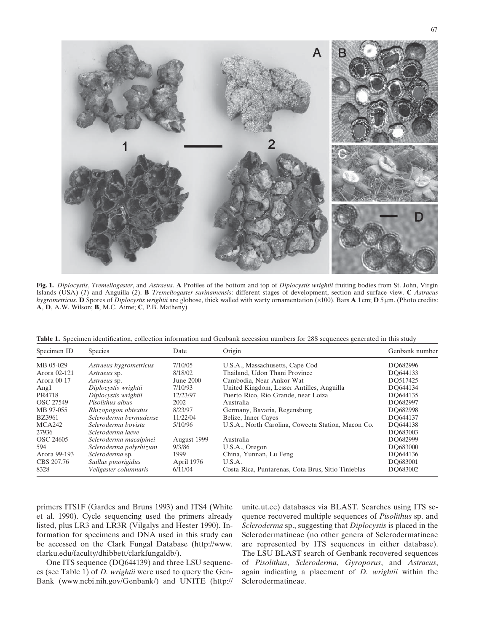**Fig. 1.** *Diplocystis*, *Tremellogaster*, and *Astraeus*. **A** Profiles of the bottom and top of *Diplocystis wrightii* fruiting bodies from St. John, Virgin Islands (USA) (*1*) and Anguilla (*2*). **B** *Tremellogaster surinamensis*: different stages of development, section and surface view. **C** *Astraeus hygrometricus*. **D** Spores of *Diplocystis wrightii* are globose, thick walled with warty ornamentation (×100). Bars **A** 1 cm; **D** 5 µm. (Photo credits: **A**, **D**, A.W. Wilson; **B**, M.C. Aime; **C**, P.B. Matheny)

Table 1. Specimen identification, collection information and Genbank accession numbers for 28S sequences generated in this study

| Specimen ID      | <b>Species</b>         | Date        | Origin                                             | Genbank number |
|------------------|------------------------|-------------|----------------------------------------------------|----------------|
| MB 05-029        | Astraeus hygrometricus | 7/10/05     | U.S.A., Massachusetts, Cape Cod                    | DO682996       |
| Arora 02-121     | <i>Astraeus</i> sp.    | 8/18/02     | Thailand, Udon Thani Province                      | DO644133       |
| Arora 00-17      | <i>Astraeus</i> sp.    | June 2000   | Cambodia, Near Ankor Wat                           | DO517425       |
| Ang1             | Diplocystis wrightii   | 7/10/93     | United Kingdom, Lesser Antilles, Anguilla          | DO644134       |
| PR4718           | Diplocystis wrightii   | 12/23/97    | Puerto Rico, Rio Grande, near Loiza                | DO644135       |
| <b>OSC 27549</b> | Pisolithus albus       | 2002        | Australia                                          | DO682997       |
| MB 97-055        | Rhizopogon obtextus    | 8/23/97     | Germany, Bavaria, Regensburg                       | DO682998       |
| <b>BZ3961</b>    | Scleroderma bermudense | 11/22/04    | Belize, Inner Cayes                                | DO644137       |
| MCA242           | Scleroderma bovista    | 5/10/96     | U.S.A., North Carolina, Coweeta Station, Macon Co. | DO644138       |
| 27936            | Scleroderma laeve      |             |                                                    | DO683003       |
| OSC 24605        | Scleroderma macalpinei | August 1999 | Australia                                          | DO682999       |
| 594              | Scleroderma polyrhizum | 9/3/86      | U.S.A., Oregon                                     | DO683000       |
| Arora 99-193     | Scleroderma sp.        | 1999        | China, Yunnan, Lu Feng                             | DO644136       |
| CBS 207.76       | Suillus pinorigidus    | April 1976  | U.S.A.                                             | DO683001       |
| 8328             | Veligaster columnaris  | 6/11/04     | Costa Rica, Puntarenas, Cota Brus, Sitio Tinieblas | DO683002       |

primers ITS1F (Gardes and Bruns 1993) and ITS4 (White et al. 1990). Cycle sequencing used the primers already listed, plus LR3 and LR3R (Vilgalys and Hester 1990). Information for specimens and DNA used in this study can be accessed on the Clark Fungal Database (http://www. clarku.edu/faculty/dhibbett/clarkfungaldb/).

One ITS sequence (DQ644139) and three LSU sequences (see Table 1) of *D. wrightii* were used to query the Gen-Bank (www.ncbi.nih.gov/Genbank/) and UNITE (http:// unite.ut.ee) databases via BLAST. Searches using ITS sequence recovered multiple sequences of *Pisolithus* sp. and *Scleroderma* sp., suggesting that *Diplocystis* is placed in the Sclerodermatineae (no other genera of Sclerodermatineae are represented by ITS sequences in either database). The LSU BLAST search of Genbank recovered sequences of *Pisolithus*, *Scleroderma*, *Gyroporus*, and *Astraeus*, again indicating a placement of *D. wrightii* within the Sclerodermatineae.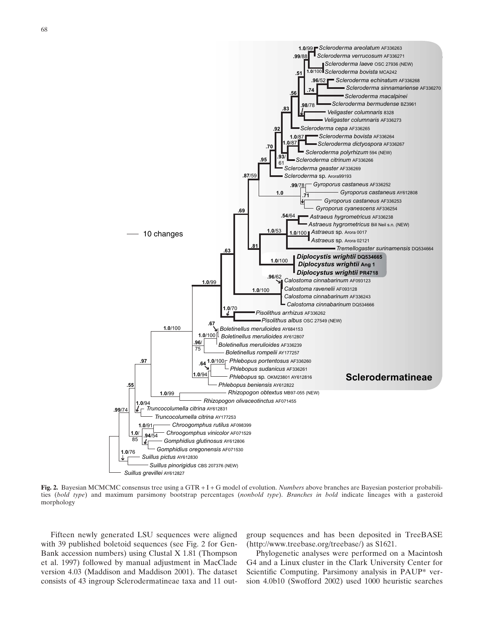

**Fig. 2.** Bayesian MCMCMC consensus tree using a GTR + I + G model of evolution. *Numbers* above branches are Bayesian posterior probabilities (*bold type*) and maximum parsimony bootstrap percentages (*nonbold type*). *Branches in bold* indicate lineages with a gasteroid morphology

Fifteen newly generated LSU sequences were aligned with 39 published boletoid sequences (see Fig. 2 for Gen-Bank accession numbers) using Clustal X 1.81 (Thompson et al. 1997) followed by manual adjustment in MacClade version 4.03 (Maddison and Maddison 2001). The dataset consists of 43 ingroup Sclerodermatineae taxa and 11 outgroup sequences and has been deposited in TreeBASE (http://www.treebase.org/treebase/) as S1621.

Phylogenetic analyses were performed on a Macintosh G4 and a Linux cluster in the Clark University Center for Scientific Computing. Parsimony analysis in PAUP\* version 4.0b10 (Swofford 2002) used 1000 heuristic searches